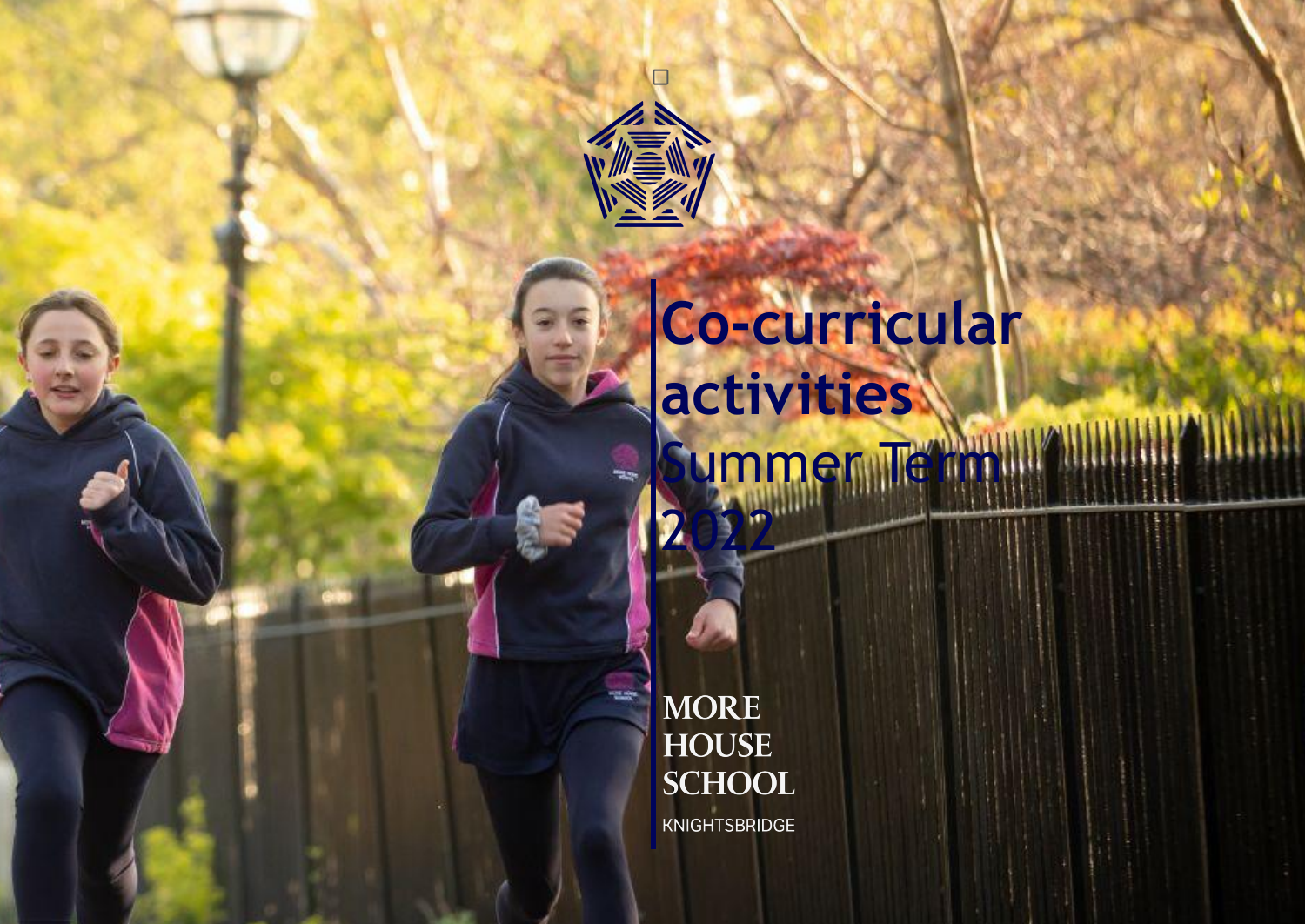

SS

## **Co-curricular activities** ummer Tett

**MORE HOUSE SCHOOL** 

**Life** 

2022

KNIGHTSBRIDGE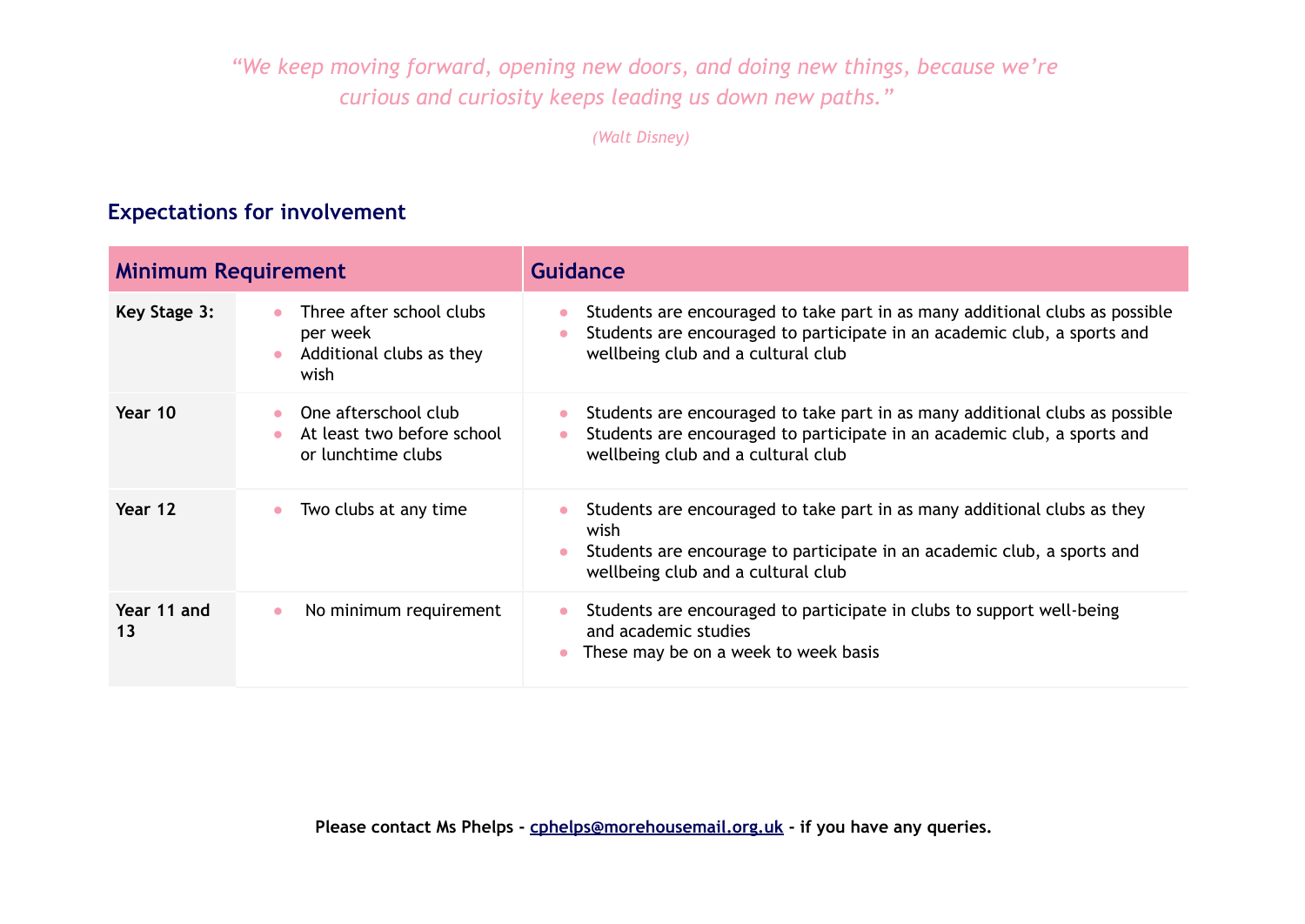*"We keep moving forward, opening new doors, and doing new things, because we're curious and curiosity keeps leading us down new paths."*

*(Walt Disney)*

## **Expectations for involvement**

| <b>Minimum Requirement</b> |                                                                                       | Guidance                                                                                                                                                                                                                 |  |  |  |
|----------------------------|---------------------------------------------------------------------------------------|--------------------------------------------------------------------------------------------------------------------------------------------------------------------------------------------------------------------------|--|--|--|
| Key Stage 3:               | Three after school clubs<br>per week<br>Additional clubs as they<br>$\bullet$<br>wish | Students are encouraged to take part in as many additional clubs as possible<br>$\bullet$<br>Students are encouraged to participate in an academic club, a sports and<br>$\bullet$<br>wellbeing club and a cultural club |  |  |  |
| Year 10                    | One afterschool club<br>$\bullet$<br>At least two before school<br>or lunchtime clubs | Students are encouraged to take part in as many additional clubs as possible<br>$\bullet$<br>Students are encouraged to participate in an academic club, a sports and<br>wellbeing club and a cultural club              |  |  |  |
| Year 12                    | Two clubs at any time                                                                 | Students are encouraged to take part in as many additional clubs as they<br>wish<br>Students are encourage to participate in an academic club, a sports and<br>wellbeing club and a cultural club                        |  |  |  |
| Year 11 and<br>13          | No minimum requirement<br>$\bullet$                                                   | Students are encouraged to participate in clubs to support well-being<br>$\bullet$<br>and academic studies<br>These may be on a week to week basis                                                                       |  |  |  |

**Please contact Ms Phelps - cphelps@morehousemail.org.uk - if you have any queries.**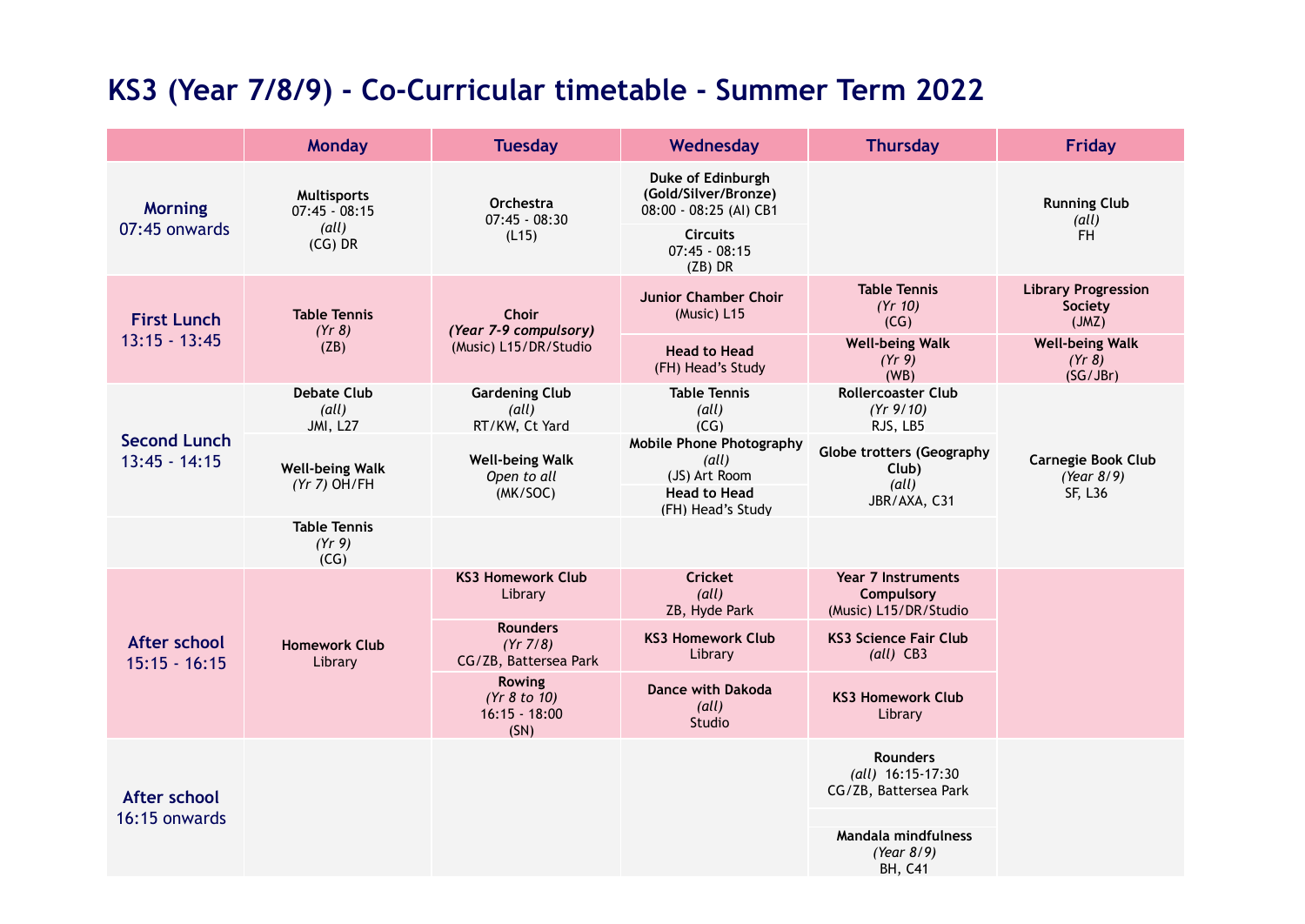## **KS3 (Year 7/8/9) - Co-Curricular timetable - Summer Term 2022**

|                                        | <b>Monday</b>                                                                   | <b>Tuesday</b>                                                 | Wednesday                                                                                             | <b>Thursday</b>                                                    | <b>Friday</b>                                      |
|----------------------------------------|---------------------------------------------------------------------------------|----------------------------------------------------------------|-------------------------------------------------------------------------------------------------------|--------------------------------------------------------------------|----------------------------------------------------|
| <b>Morning</b><br>07:45 onwards        | <b>Multisports</b><br>$07:45 - 08:15$<br>$\left(\text{all}\right)$<br>$(CG)$ DR | Orchestra<br>$07:45 - 08:30$<br>(L15)                          | Duke of Edinburgh<br>(Gold/Silver/Bronze)<br>08:00 - 08:25 (Al) CB1                                   |                                                                    | <b>Running Club</b><br>(all)                       |
|                                        |                                                                                 |                                                                | <b>Circuits</b><br>$07:45 - 08:15$<br>$(ZB)$ DR                                                       |                                                                    | <b>FH</b>                                          |
| <b>First Lunch</b><br>$13:15 - 13:45$  | <b>Table Tennis</b><br>(Yr 8)<br>(ZB)                                           | <b>Choir</b><br>(Year 7-9 compulsory)<br>(Music) L15/DR/Studio | <b>Junior Chamber Choir</b><br>(Music) L15                                                            | <b>Table Tennis</b><br>(Yr 10)<br>(CG)                             | <b>Library Progression</b><br>Society<br>(JMZ)     |
|                                        |                                                                                 |                                                                | <b>Head to Head</b><br>(FH) Head's Study                                                              | <b>Well-being Walk</b><br>(Yr 9)<br>(WB)                           | <b>Well-being Walk</b><br>(Yr 8)<br>(SG/JBr)       |
| <b>Second Lunch</b><br>$13:45 - 14:15$ | Debate Club<br>$\left(\text{all}\right)$<br><b>JMI, L27</b>                     | <b>Gardening Club</b><br>(all)<br>RT/KW, Ct Yard               | <b>Table Tennis</b><br>(all)<br>(CG)                                                                  | <b>Rollercoaster Club</b><br>(Yr 9/10)<br>RJS, LB5                 | <b>Carnegie Book Club</b><br>(Year 8/9)<br>SF, L36 |
|                                        | <b>Well-being Walk</b><br>$(Yr 7)$ OH/FH                                        | <b>Well-being Walk</b><br>Open to all<br>(MK/SOC)              | <b>Mobile Phone Photography</b><br>(all)<br>(JS) Art Room<br><b>Head to Head</b><br>(FH) Head's Study | <b>Globe trotters (Geography</b><br>Club)<br>(all)<br>JBR/AXA, C31 |                                                    |
|                                        | <b>Table Tennis</b><br>(Yr 9)<br>(CG)                                           |                                                                |                                                                                                       |                                                                    |                                                    |
| After school<br>$15:15 - 16:15$        | <b>Homework Club</b><br>Library                                                 | <b>KS3 Homework Club</b><br>Library                            | <b>Cricket</b><br>(all)<br>ZB, Hyde Park                                                              | Year 7 Instruments<br>Compulsory<br>(Music) L15/DR/Studio          |                                                    |
|                                        |                                                                                 | <b>Rounders</b><br>(Yr 7/8)<br>CG/ZB, Battersea Park           | <b>KS3 Homework Club</b><br>Library                                                                   | <b>KS3 Science Fair Club</b><br>$\text{(all)}$ CB3                 |                                                    |
|                                        |                                                                                 | <b>Rowing</b><br>(Yr 8 to 10)<br>$16:15 - 18:00$<br>(SN)       | <b>Dance with Dakoda</b><br>(all)<br>Studio                                                           | <b>KS3 Homework Club</b><br>Library                                |                                                    |
| After school<br>16:15 onwards          |                                                                                 |                                                                |                                                                                                       | <b>Rounders</b><br>(all) 16:15-17:30<br>CG/ZB, Battersea Park      |                                                    |
|                                        |                                                                                 |                                                                |                                                                                                       | Mandala mindfulness<br>(Year 8/9)<br><b>BH, C41</b>                |                                                    |